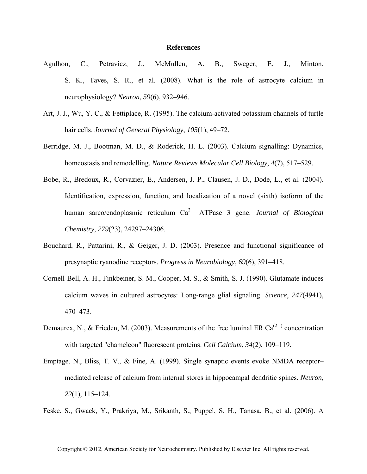## **References**

- Agulhon, C., Petravicz, J., McMullen, A. B., Sweger, E. J., Minton, S. K., Taves, S. R., et al. (2008). What is the role of astrocyte calcium in neurophysiology? *Neuron*, *59*(6), 932–946.
- Art, J. J., Wu, Y. C., & Fettiplace, R. (1995). The calcium-activated potassium channels of turtle hair cells. *Journal of General Physiology*, *105*(1), 49–72.
- Berridge, M. J., Bootman, M. D., & Roderick, H. L. (2003). Calcium signalling: Dynamics, homeostasis and remodelling. *Nature Reviews Molecular Cell Biology*, *4*(7), 517–529.
- Bobe, R., Bredoux, R., Corvazier, E., Andersen, J. P., Clausen, J. D., Dode, L., et al. (2004). Identification, expression, function, and localization of a novel (sixth) isoform of the human sarco/endoplasmic reticulum Ca<sup>2</sup> ATPase 3 gene. *Journal of Biological Chemistry*, *279*(23), 24297–24306.
- Bouchard, R., Pattarini, R., & Geiger, J. D. (2003). Presence and functional significance of presynaptic ryanodine receptors. *Progress in Neurobiology*, *69*(6), 391–418.
- Cornell-Bell, A. H., Finkbeiner, S. M., Cooper, M. S., & Smith, S. J. (1990). Glutamate induces calcium waves in cultured astrocytes: Long-range glial signaling. *Science*, *247*(4941), 470–473.
- Demaurex, N., & Frieden, M. (2003). Measurements of the free luminal ER Ca<sup>(2)</sup> concentration with targeted "chameleon" fluorescent proteins. *Cell Calcium*, *34*(2), 109–119.
- Emptage, N., Bliss, T. V., & Fine, A. (1999). Single synaptic events evoke NMDA receptor– mediated release of calcium from internal stores in hippocampal dendritic spines. *Neuron*, *22*(1), 115–124.
- Feske, S., Gwack, Y., Prakriya, M., Srikanth, S., Puppel, S. H., Tanasa, B., et al. (2006). A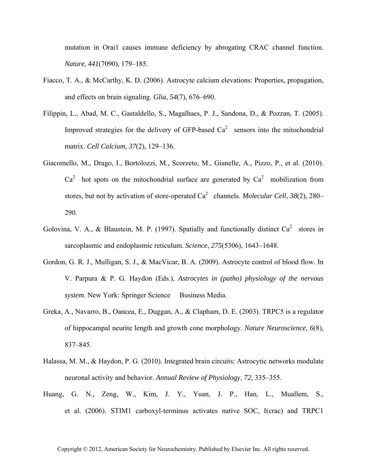mutation in Orai1 causes immune deficiency by abrogating CRAC channel function. *Nature*, *441*(7090), 179–185.

- Fiacco, T. A., & McCarthy, K. D. (2006). Astrocyte calcium elevations: Properties, propagation, and effects on brain signaling. *Glia*, *54*(7), 676–690.
- Filippin, L., Abad, M. C., Gastaldello, S., Magalhaes, P. J., Sandona, D., & Pozzan, T. (2005). Improved strategies for the delivery of GFP-based  $Ca<sup>2</sup>$  sensors into the mitochondrial matrix. *Cell Calcium*, *37*(2), 129–136.
- Giacomello, M., Drago, I., Bortolozzi, M., Scorzeto, M., Gianelle, A., Pizzo, P., et al. (2010).  $Ca<sup>2</sup>$  hot spots on the mitochondrial surface are generated by  $Ca<sup>2</sup>$  mobilization from stores, but not by activation of store-operated Ca<sup>2</sup> channels. *Molecular Cell*, 38(2), 280– 290.
- Golovina, V. A., & Blaustein, M. P. (1997). Spatially and functionally distinct  $Ca^2$  stores in sarcoplasmic and endoplasmic reticulum. *Science*, *275*(5306), 1643–1648.
- Gordon, G. R. J., Mulligan, S. J., & MacVicar, B. A. (2009). Astrocyte control of blood flow. In V. Parpura & P. G. Haydon (Eds.), *Astrocytes in (patho) physiology of the nervous system*. New York: Springer Science Business Media.
- Greka, A., Navarro, B., Oancea, E., Duggan, A., & Clapham, D. E. (2003). TRPC5 is a regulator of hippocampal neurite length and growth cone morphology. *Nature Neuroscience*, *6*(8), 837–845.
- Halassa, M. M., & Haydon, P. G. (2010). Integrated brain circuits: Astrocytic networks modulate neuronal activity and behavior. *Annual Review of Physiology*, *72*, 335–355.
- Huang, G. N., Zeng, W., Kim, J. Y., Yuan, J. P., Han, L., Muallem, S., et al. (2006). STIM1 carboxyl-terminus activates native SOC, I(crac) and TRPC1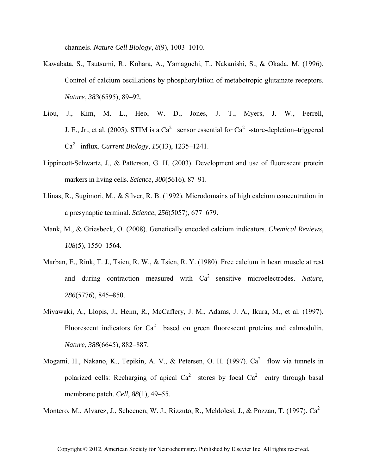channels. *Nature Cell Biology*, *8*(9), 1003–1010.

- Kawabata, S., Tsutsumi, R., Kohara, A., Yamaguchi, T., Nakanishi, S., & Okada, M. (1996). Control of calcium oscillations by phosphorylation of metabotropic glutamate receptors. *Nature*, *383*(6595), 89–92.
- Liou, J., Kim, M. L., Heo, W. D., Jones, J. T., Myers, J. W., Ferrell, J. E., Jr., et al. (2005). STIM is a  $Ca^2$  sensor essential for  $Ca^2$  -store-depletion–triggered Ca2 influx. *Current Biology*, *15*(13), 1235–1241.
- Lippincott-Schwartz, J., & Patterson, G. H. (2003). Development and use of fluorescent protein markers in living cells. *Science*, *300*(5616), 87–91.
- Llinas, R., Sugimori, M., & Silver, R. B. (1992). Microdomains of high calcium concentration in a presynaptic terminal. *Science*, *256*(5057), 677–679.
- Mank, M., & Griesbeck, O. (2008). Genetically encoded calcium indicators. *Chemical Reviews*, *108*(5), 1550–1564.
- Marban, E., Rink, T. J., Tsien, R. W., & Tsien, R. Y. (1980). Free calcium in heart muscle at rest and during contraction measured with Ca<sup>2</sup>-sensitive microelectrodes. *Nature*, *286*(5776), 845–850.
- Miyawaki, A., Llopis, J., Heim, R., McCaffery, J. M., Adams, J. A., Ikura, M., et al. (1997). Fluorescent indicators for  $Ca^2$  based on green fluorescent proteins and calmodulin. *Nature*, *388*(6645), 882–887.
- Mogami, H., Nakano, K., Tepikin, A. V., & Petersen, O. H. (1997).  $Ca^2$  flow via tunnels in polarized cells: Recharging of apical  $Ca^2$  stores by focal  $Ca^2$  entry through basal membrane patch. *Cell*, *88*(1), 49–55.

Montero, M., Alvarez, J., Scheenen, W. J., Rizzuto, R., Meldolesi, J., & Pozzan, T. (1997). Ca<sup>2</sup>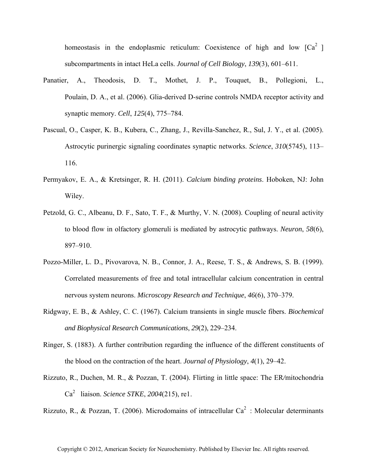homeostasis in the endoplasmic reticulum: Coexistence of high and low  $[Ca<sup>2</sup>]$ subcompartments in intact HeLa cells. *Journal of Cell Biology*, *139*(3), 601–611.

- Panatier, A., Theodosis, D. T., Mothet, J. P., Touquet, B., Pollegioni, L., Poulain, D. A., et al. (2006). Glia-derived D-serine controls NMDA receptor activity and synaptic memory. *Cell*, *125*(4), 775–784.
- Pascual, O., Casper, K. B., Kubera, C., Zhang, J., Revilla-Sanchez, R., Sul, J. Y., et al. (2005). Astrocytic purinergic signaling coordinates synaptic networks. *Science*, *310*(5745), 113– 116.
- Permyakov, E. A., & Kretsinger, R. H. (2011). *Calcium binding proteins*. Hoboken, NJ: John Wiley.
- Petzold, G. C., Albeanu, D. F., Sato, T. F., & Murthy, V. N. (2008). Coupling of neural activity to blood flow in olfactory glomeruli is mediated by astrocytic pathways. *Neuron*, *58*(6), 897–910.
- Pozzo-Miller, L. D., Pivovarova, N. B., Connor, J. A., Reese, T. S., & Andrews, S. B. (1999). Correlated measurements of free and total intracellular calcium concentration in central nervous system neurons. *Microscopy Research and Technique*, *46*(6), 370–379.
- Ridgway, E. B., & Ashley, C. C. (1967). Calcium transients in single muscle fibers. *Biochemical and Biophysical Research Communications*, *29*(2), 229–234.
- Ringer, S. (1883). A further contribution regarding the influence of the different constituents of the blood on the contraction of the heart. *Journal of Physiology*, *4*(1), 29–42.
- Rizzuto, R., Duchen, M. R., & Pozzan, T. (2004). Flirting in little space: The ER*/*mitochondria Ca2 liaison. *Science STKE*, *2004*(215), re1.

Rizzuto, R., & Pozzan, T. (2006). Microdomains of intracellular  $Ca^2$ : Molecular determinants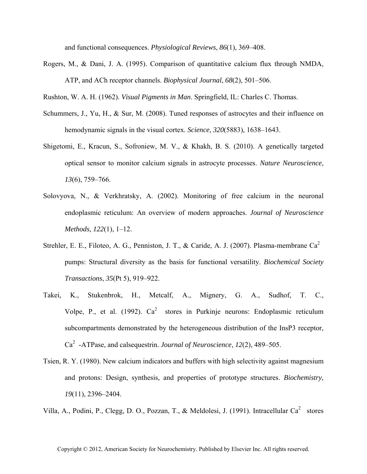and functional consequences. *Physiological Reviews*, *86*(1), 369–408.

Rogers, M., & Dani, J. A. (1995). Comparison of quantitative calcium flux through NMDA, ATP, and ACh receptor channels. *Biophysical Journal*, *68*(2), 501–506.

Rushton, W. A. H. (1962). *Visual Pigments in Man*. Springfield, IL: Charles C. Thomas.

- Schummers, J., Yu, H., & Sur, M. (2008). Tuned responses of astrocytes and their influence on hemodynamic signals in the visual cortex. *Science*, *320*(5883), 1638–1643.
- Shigetomi, E., Kracun, S., Sofroniew, M. V., & Khakh, B. S. (2010). A genetically targeted optical sensor to monitor calcium signals in astrocyte processes. *Nature Neuroscience*, *13*(6), 759–766.
- Solovyova, N., & Verkhratsky, A. (2002). Monitoring of free calcium in the neuronal endoplasmic reticulum: An overview of modern approaches. *Journal of Neuroscience Methods*, *122*(1), 1–12.
- Strehler, E. E., Filoteo, A. G., Penniston, J. T., & Caride, A. J. (2007). Plasma-membrane Ca<sup>2</sup> pumps: Structural diversity as the basis for functional versatility. *Biochemical Society Transactions*, *35*(Pt 5), 919–922.
- Takei, K., Stukenbrok, H., Metcalf, A., Mignery, G. A., Sudhof, T. C., Volpe, P., et al. (1992).  $Ca^2$  stores in Purkinje neurons: Endoplasmic reticulum subcompartments demonstrated by the heterogeneous distribution of the InsP3 receptor, Ca2-ATPase, and calsequestrin. *Journal of Neuroscience*, *12*(2), 489–505.
- Tsien, R. Y. (1980). New calcium indicators and buffers with high selectivity against magnesium and protons: Design, synthesis, and properties of prototype structures. *Biochemistry*, *19*(11), 2396–2404.

Villa, A., Podini, P., Clegg, D. O., Pozzan, T., & Meldolesi, J. (1991). Intracellular Ca<sup>2</sup> stores